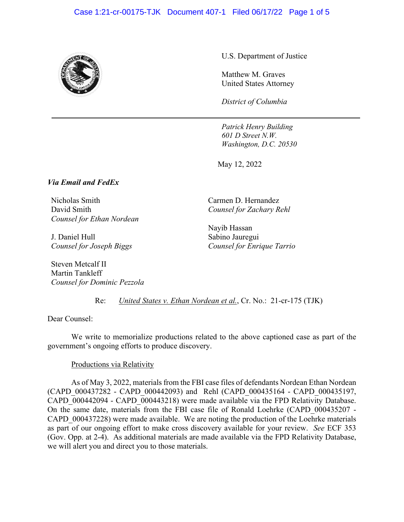#### Case 1:21-cr-00175-TJK Document 407-1 Filed 06/17/22 Page 1 of 5



U.S. Department of Justice

Matthew M. Graves United States Attorney

*District of Columbia*

*Patrick Henry Building 601 D Street N.W. Washington, D.C. 20530* 

May 12, 2022

### *Via Email and FedEx*

Nicholas Smith David Smith *Counsel for Ethan Nordean* 

J. Daniel Hull *Counsel for Joseph Biggs* 

Steven Metcalf II Martin Tankleff *Counsel for Dominic Pezzola*  Carmen D. Hernandez *Counsel for Zachary Rehl* 

Nayib Hassan Sabino Jauregui *Counsel for Enrique Tarrio* 

Re: *United States v. Ethan Nordean et al.*, Cr. No.: 21-cr-175 (TJK)

Dear Counsel:

We write to memorialize productions related to the above captioned case as part of the government's ongoing efforts to produce discovery.

#### Productions via Relativity

As of May 3, 2022, materials from the FBI case files of defendants Nordean Ethan Nordean (CAPD\_000437282 - CAPD\_000442093) and Rehl (CAPD\_000435164 - CAPD\_000435197, CAPD\_000442094 - CAPD\_000443218) were made available via the FPD Relativity Database. On the same date, materials from the FBI case file of Ronald Loehrke (CAPD\_000435207 - CAPD 000437228) were made available. We are noting the production of the Loehrke materials as part of our ongoing effort to make cross discovery available for your review. *See* ECF 353 (Gov. Opp. at 2-4). As additional materials are made available via the FPD Relativity Database, we will alert you and direct you to those materials.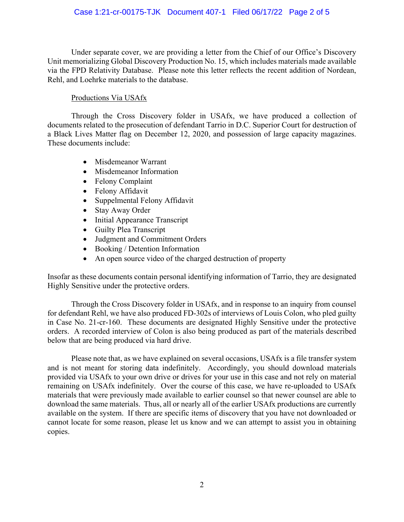## Case 1:21-cr-00175-TJK Document 407-1 Filed 06/17/22 Page 2 of 5

Under separate cover, we are providing a letter from the Chief of our Office's Discovery Unit memorializing Global Discovery Production No. 15, which includes materials made available via the FPD Relativity Database. Please note this letter reflects the recent addition of Nordean, Rehl, and Loehrke materials to the database.

## Productions Via USAfx

Through the Cross Discovery folder in USAfx, we have produced a collection of documents related to the prosecution of defendant Tarrio in D.C. Superior Court for destruction of a Black Lives Matter flag on December 12, 2020, and possession of large capacity magazines. These documents include:

- Misdemeanor Warrant
- Misdemeanor Information
- Felony Complaint
- Felony Affidavit
- Suppelmental Felony Affidavit
- Stay Away Order
- Initial Appearance Transcript
- Guilty Plea Transcript
- Judgment and Commitment Orders
- Booking / Detention Information
- An open source video of the charged destruction of property

Insofar as these documents contain personal identifying information of Tarrio, they are designated Highly Sensitive under the protective orders.

Through the Cross Discovery folder in USAfx, and in response to an inquiry from counsel for defendant Rehl, we have also produced FD-302s of interviews of Louis Colon, who pled guilty in Case No. 21-cr-160. These documents are designated Highly Sensitive under the protective orders. A recorded interview of Colon is also being produced as part of the materials described below that are being produced via hard drive.

Please note that, as we have explained on several occasions, USAfx is a file transfer system and is not meant for storing data indefinitely. Accordingly, you should download materials provided via USAfx to your own drive or drives for your use in this case and not rely on material remaining on USAfx indefinitely. Over the course of this case, we have re-uploaded to USAfx materials that were previously made available to earlier counsel so that newer counsel are able to download the same materials. Thus, all or nearly all of the earlier USAfx productions are currently available on the system. If there are specific items of discovery that you have not downloaded or cannot locate for some reason, please let us know and we can attempt to assist you in obtaining copies.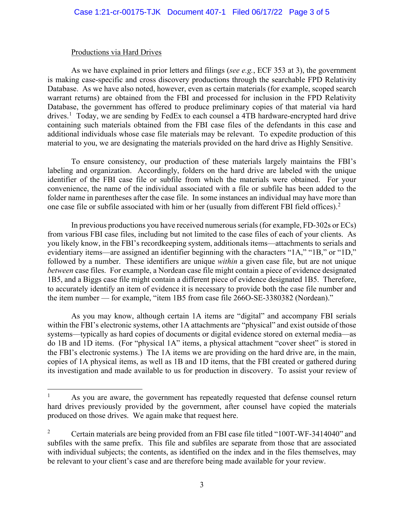#### Productions via Hard Drives

As we have explained in prior letters and filings (*see e.g.*, ECF 353 at 3), the government is making case-specific and cross discovery productions through the searchable FPD Relativity Database. As we have also noted, however, even as certain materials (for example, scoped search warrant returns) are obtained from the FBI and processed for inclusion in the FPD Relativity Database, the government has offered to produce preliminary copies of that material via hard drives.<sup>1</sup> Today, we are sending by FedEx to each counsel a 4TB hardware-encrypted hard drive containing such materials obtained from the FBI case files of the defendants in this case and additional individuals whose case file materials may be relevant. To expedite production of this material to you, we are designating the materials provided on the hard drive as Highly Sensitive.

To ensure consistency, our production of these materials largely maintains the FBI's labeling and organization. Accordingly, folders on the hard drive are labeled with the unique identifier of the FBI case file or subfile from which the materials were obtained. For your convenience, the name of the individual associated with a file or subfile has been added to the folder name in parentheses after the case file. In some instances an individual may have more than one case file or subfile associated with him or her (usually from different FBI field offices).<sup>2</sup>

In previous productions you have received numerous serials(for example, FD-302s or ECs) from various FBI case files, including but not limited to the case files of each of your clients. As you likely know, in the FBI's recordkeeping system, additionals items—attachments to serials and evidentiary items—are assigned an identifier beginning with the characters "1A," "1B," or "1D," followed by a number. These identifiers are unique *within* a given case file, but are not unique *between* case files. For example, a Nordean case file might contain a piece of evidence designated 1B5, and a Biggs case file might contain a different piece of evidence designated 1B5. Therefore, to accurately identify an item of evidence it is necessary to provide both the case file number and the item number — for example, "item 1B5 from case file 266O-SE-3380382 (Nordean)."

As you may know, although certain 1A items are "digital" and accompany FBI serials within the FBI's electronic systems, other 1A attachments are "physical" and exist outside of those systems—typically as hard copies of documents or digital evidence stored on external media—as do 1B and 1D items. (For "physical 1A" items, a physical attachment "cover sheet" is stored in the FBI's electronic systems.) The 1A items we are providing on the hard drive are, in the main, copies of 1A physical items, as well as 1B and 1D items, that the FBI created or gathered during its investigation and made available to us for production in discovery. To assist your review of

<sup>1</sup> As you are aware, the government has repeatedly requested that defense counsel return hard drives previously provided by the government, after counsel have copied the materials produced on those drives. We again make that request here.

<sup>2</sup> Certain materials are being provided from an FBI case file titled "100T-WF-3414040" and subfiles with the same prefix. This file and subfiles are separate from those that are associated with individual subjects; the contents, as identified on the index and in the files themselves, may be relevant to your client's case and are therefore being made available for your review.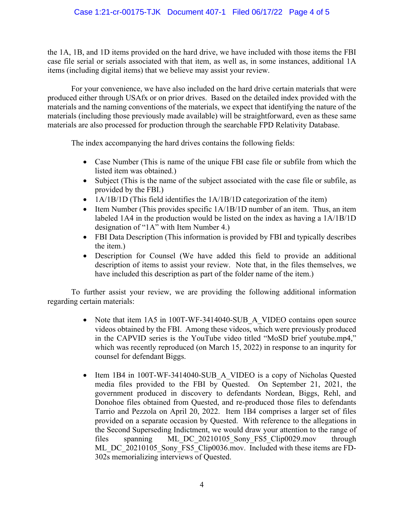# Case 1:21-cr-00175-TJK Document 407-1 Filed 06/17/22 Page 4 of 5

the 1A, 1B, and 1D items provided on the hard drive, we have included with those items the FBI case file serial or serials associated with that item, as well as, in some instances, additional 1A items (including digital items) that we believe may assist your review.

For your convenience, we have also included on the hard drive certain materials that were produced either through USAfx or on prior drives. Based on the detailed index provided with the materials and the naming conventions of the materials, we expect that identifying the nature of the materials (including those previously made available) will be straightforward, even as these same materials are also processed for production through the searchable FPD Relativity Database.

The index accompanying the hard drives contains the following fields:

- Case Number (This is name of the unique FBI case file or subfile from which the listed item was obtained.)
- Subject (This is the name of the subject associated with the case file or subfile, as provided by the FBI.)
- 1A/1B/1D (This field identifies the 1A/1B/1D categorization of the item)
- Item Number (This provides specific  $1A/1B/1D$  number of an item. Thus, an item labeled 1A4 in the production would be listed on the index as having a 1A/1B/1D designation of "1A" with Item Number 4.)
- FBI Data Description (This information is provided by FBI and typically describes the item.)
- Description for Counsel (We have added this field to provide an additional description of items to assist your review. Note that, in the files themselves, we have included this description as part of the folder name of the item.)

To further assist your review, we are providing the following additional information regarding certain materials:

- Note that item 1A5 in 100T-WF-3414040-SUB A VIDEO contains open source videos obtained by the FBI. Among these videos, which were previously produced in the CAPVID series is the YouTube video titled "MoSD brief youtube.mp4," which was recently reproduced (on March 15, 2022) in response to an inqurity for counsel for defendant Biggs.
- Item 1B4 in 100T-WF-3414040-SUB A VIDEO is a copy of Nicholas Quested media files provided to the FBI by Quested. On September 21, 2021, the government produced in discovery to defendants Nordean, Biggs, Rehl, and Donohoe files obtained from Quested, and re-produced those files to defendants Tarrio and Pezzola on April 20, 2022. Item 1B4 comprises a larger set of files provided on a separate occasion by Quested. With reference to the allegations in the Second Superseding Indictment, we would draw your attention to the range of files spanning ML\_DC\_20210105\_Sony\_FS5\_Clip0029.mov through ML DC 20210105 Sony FS5 Clip0036.mov. Included with these items are FD-302s memorializing interviews of Quested.